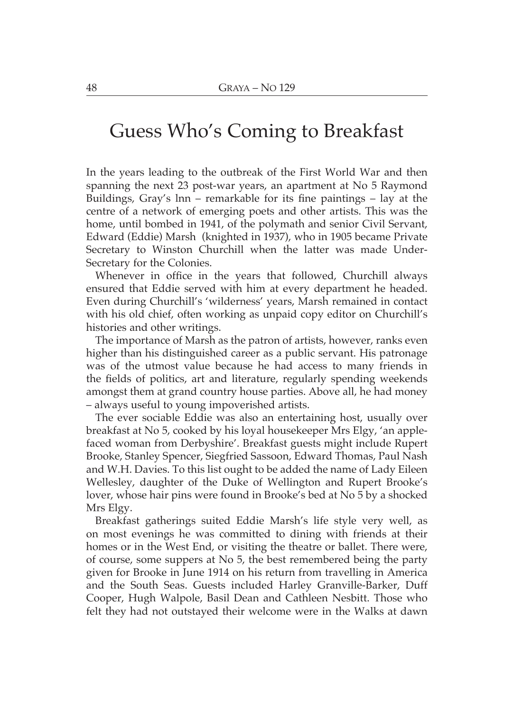## Guess Who's Coming to Breakfast

In the years leading to the outbreak of the First World War and then spanning the next 23 post-war years, an apartment at No 5 Raymond Buildings, Gray's lnn – remarkable for its fine paintings – lay at the centre of a network of emerging poets and other artists. This was the home, until bombed in 1941, of the polymath and senior Civil Servant, Edward (Eddie) Marsh (knighted in 1937), who in 1905 became Private Secretary to Winston Churchill when the latter was made Under-Secretary for the Colonies.

Whenever in office in the years that followed, Churchill always ensured that Eddie served with him at every department he headed. Even during Churchill's 'wilderness' years, Marsh remained in contact with his old chief, often working as unpaid copy editor on Churchill's histories and other writings.

The importance of Marsh as the patron of artists, however, ranks even higher than his distinguished career as a public servant. His patronage was of the utmost value because he had access to many friends in the fields of politics, art and literature, regularly spending weekends amongst them at grand country house parties. Above all, he had money - always useful to young impoverished artists.

The ever sociable Eddie was also an entertaining host, usually over breakfast at No 5, cooked by his loyal house keeper Mrs Elgy, 'an applefaced woman from Derbyshire'. Breakfast guests might include Rupert Brooke, Stanley Spencer, Siegfried Sassoon, Edward Thomas, Paul Nash and W.H. Davies. To this list ought to be added the name of Lady Eileen Wellesley, daughter of the Duke of Wellington and Rupert Brooke's lover, whose hair pins were found in Brooke's bed at No 5 by a shocked Mrs Elgy.

Breakfast gatherings suited Eddie Marsh's life style very well, as on most evenings he was committed to dining with friends at their homes or in the West End, or visiting the theatre or ballet. There were, of course, some suppers at No 5, the best remembered being the party given for Brooke in June 1914 on his return from travelling in America and the South Seas. Guests included Harley Granville-Barker, Duff Cooper, Hugh Walpole, Basil Dean and Cathleen Nesbitt. Those who felt they had not outstayed their welcome were in the Walks at dawn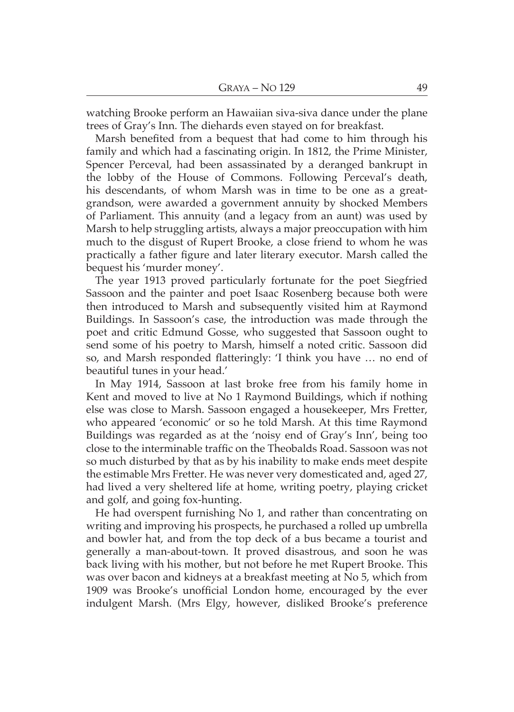watching Brooke perform an Hawaiian siva-siva dance under the plane trees of Gray's Inn. The diehards even stayed on for breakfast.

Marsh benefited from a bequest that had come to him through his family and which had a fascinating origin. In 1812, the Prime Minister, Spencer Perceval, had been assassinated by a deranged bankrupt in the lobby of the House of Commons. Following Perceval's death. his descendants, of whom Marsh was in time to be one as a greatgrandson, were awarded a government annuity by shocked Members of Parliament. This annuity (and a legacy from an aunt) was used by Marsh to help struggling artists, always a major preoccupation with him much to the disgust of Rupert Brooke, a close friend to whom he was practically a father figure and later literary executor. Marsh called the bequest his 'murder money'.

The year 1913 proved particularly fortunate for the poet Siegfried Sassoon and the painter and poet Isaac Rosenberg because both were then introduced to Marsh and subsequently visited him at Raymond Buildings. In Sassoon's case, the introduction was made through the poet and critic Edmund Gosse, who suggested that Sassoon ought to send some of his poetry to Marsh, himself a noted critic. Sassoon did so, and Marsh responded flatteringly: 'I think you have ... no end of beautiful tunes in your head.'

In May 1914, Sassoon at last broke free from his family home in Kent and moved to live at No 1 Raymond Buildings, which if nothing else was close to Marsh. Sassoon engaged a housekeeper, Mrs Fretter, who appeared 'economic' or so he told Marsh. At this time Raymond Buildings was regarded as at the 'noisy end of Gray's Inn', being too close to the interminable traffic on the Theobalds Road. Sassoon was not so much disturbed by that as by his inability to make ends meet despite the estimable Mrs Fretter. He was never very domesticated and, aged 27, had lived a very sheltered life at home, writing poetry, playing cricket and golf, and going fox-hunting.

He had overspent furnishing No 1, and rather than concentrating on writing and improving his prospects, he purchased a rolled up umbrella and bowler hat, and from the top deck of a bus became a tourist and generally a man-about-town. It proved disastrous, and soon he was back living with his mother, but not before he met Rupert Brooke. This was over bacon and kidneys at a breakfast meeting at No 5, which from 1909 was Brooke's unofficial London home, encouraged by the ever indulgent Marsh. (Mrs Elgy, however, disliked Brooke's preference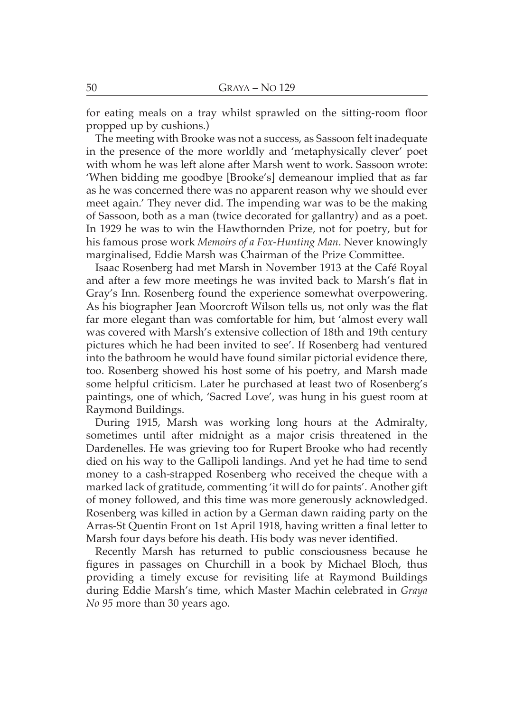for eating meals on a tray whilst sprawled on the sitting-room floor propped up by cushions.)

The meeting with Brooke was not a success, as Sassoon felt inadequate in the presence of the more worldly and 'metaphysically clever' poet with whom he was left alone after Marsh went to work. Sassoon wrote: 'When bidding me goodbye [Brooke's] demeanour implied that as far as he was concerned there was no apparent reason why we should ever meet again.' They never did. The impending war was to be the making of Sassoon, both as a man (twice decorated for gallantry) and as a poet. In 1929 he was to win the Hawthornden Prize, not for poetry, but for his famous prose work Memoirs of a Fox-Hunting Man. Never knowingly marginalised, Eddie Marsh was Chairman of the Prize Committee.

Isaac Rosenberg had met Marsh in November 1913 at the Café Roval and after a few more meetings he was invited back to Marsh's flat in Gray's Inn. Rosenberg found the experience somewhat overpowering. As his biographer Jean Moorcroft Wilson tells us, not only was the flat far more elegant than was comfortable for him, but 'almost every wall was covered with Marsh's extensive collection of 18th and 19th century pictures which he had been invited to see'. If Rosenberg had ventured into the bathroom he would have found similar pictorial evidence there, too. Rosenberg showed his host some of his poetry, and Marsh made some helpful criticism. Later he purchased at least two of Rosenberg's paintings, one of which, 'Sacred Love', was hung in his guest room at Raymond Buildings.

During 1915, Marsh was working long hours at the Admiralty, sometimes until after midnight as a major crisis threatened in the Dardenelles. He was grieving too for Rupert Brooke who had recently died on his way to the Gallipoli landings. And yet he had time to send money to a cash-strapped Rosenberg who received the cheque with a marked lack of gratitude, commenting 'it will do for paints'. Another gift of money followed, and this time was more generously acknowledged. Rosenberg was killed in action by a German dawn raiding party on the Arras-St Ouentin Front on 1st April 1918, having written a final letter to Marsh four days before his death. His body was never identified.

Recently Marsh has returned to public consciousness because he figures in passages on Churchill in a book by Michael Bloch, thus providing a timely excuse for revisiting life at Raymond Buildings during Eddie Marsh's time, which Master Machin celebrated in Graya *No 95* more than 30 years ago.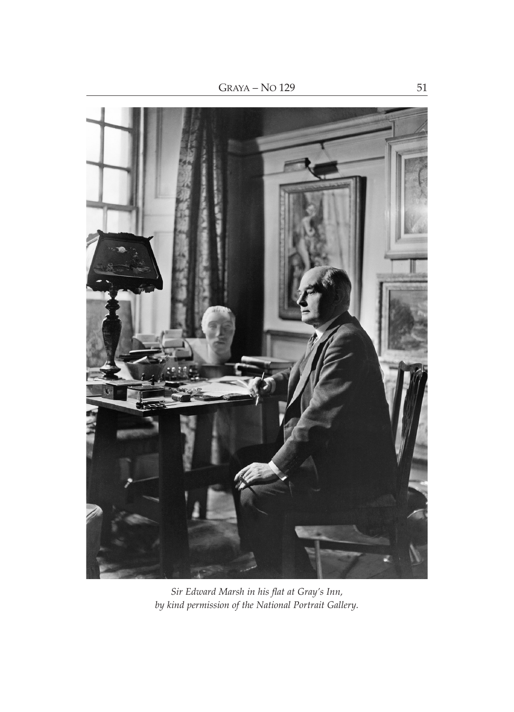

Sir Edward Marsh in his flat at Gray's Inn,<br>by kind permission of the National Portrait Gallery.